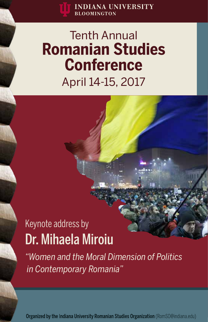# Tenth Annual **Romanian Studies Conference** April 14-15, 2017

# Keynote address by Dr. Mihaela Miroiu

*"Women and the Moral Dimension of Politics in Contemporary Romania"*

Organized by the Indiana University Romanian Studies Organization (RomSO@indiana.edu)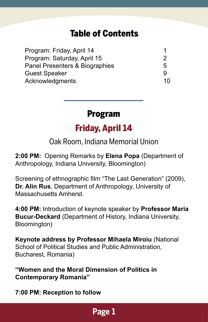## Table of Contents

| Program: Friday, April 14      |    |
|--------------------------------|----|
| Program: Saturday, April 15    | 2  |
| Panel Presenters & Biographies | 5  |
| <b>Guest Speaker</b>           | g  |
| Acknowledgments                | 10 |

## Program

## Friday, April 14

Oak Room, Indiana Memorial Union

**2:00 PM:** Opening Remarks by **Elena Popa** (Department of Anthropology, Indiana University, Bloomington)

Screening of ethnographic film "The Last Generation" (2009), **Dr. Alin Rus**, Department of Anthropology, University of Massachusetts Amherst.

**4:00 PM:** Introduction of keynote speaker by **Professor Maria Bucur-Deckard** (Department of History, Indiana University, Bloomington)

**Keynote address by Professor Mihaela Miroiu** (National School of Political Studies and Public Administration, Bucharest, Romania)

**"Women and the Moral Dimension of Politics in Contemporary Romania"**

**7:00 PM: Reception to follow**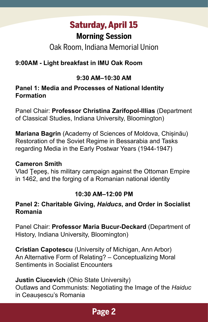## Saturday, April 15

## **Morning Session**

## Oak Room, Indiana Memorial Union

#### **9:00AM - Light breakfast in IMU Oak Room**

#### **9:30 AM–10:30 AM**

#### **Panel 1: Media and Processes of National Identity Formation**

Panel Chair: **Professor Christina Zarifopol-Illias** (Department of Classical Studies, Indiana University, Bloomington)

**Mariana Bagrin** (Academy of Sciences of Moldova, Chișinău) Restoration of the Soviet Regime in Bessarabia and Tasks regarding Media in the Early Postwar Years (1944-1947)

#### **Cameron Smith**

Vlad Ţepeş, his military campaign against the Ottoman Empire in 1462, and the forging of a Romanian national identity

#### **10:30 AM–12:00 PM**

#### **Panel 2: Charitable Giving,** *Haiducs***, and Order in Socialist Romania**

Panel Chair: **Professor Maria Bucur-Deckard** (Department of History, Indiana University, Bloomington)

**Cristian Capotescu** (University of Michigan, Ann Arbor) An Alternative Form of Relating? – Conceptualizing Moral Sentiments in Socialist Encounters

#### **Justin Ciucevich** (Ohio State University)

Outlaws and Communists: Negotiating the Image of the *Haiduc*  in Ceaușescu's Romania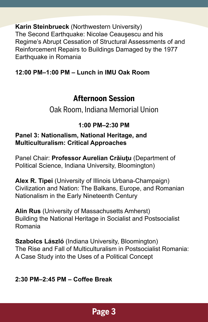**Karin Steinbrueck** (Northwestern University) The Second Earthquake: Nicolae Ceauşescu and his Regime's Abrupt Cessation of Structural Assessments of and Reinforcement Repairs to Buildings Damaged by the 1977 Earthquake in Romania

#### **12:00 PM–1:00 PM – Lunch in IMU Oak Room**

### **Afternoon Session**

Oak Room, Indiana Memorial Union

#### **1:00 PM–2:30 PM**

#### **Panel 3: Nationalism, National Heritage, and Multiculturalism: Critical Approaches**

Panel Chair: **Professor Aurelian Crăiuţu** (Department of Political Science, Indiana University, Bloomington)

**Alex R. Tipei** (University of Illinois Urbana-Champaign) Civilization and Nation: The Balkans, Europe, and Romanian Nationalism in the Early Nineteenth Century

**Alin Rus** (University of Massachusetts Amherst) Building the National Heritage in Socialist and Postsocialist Romania

**Szabolcs László** (Indiana University, Bloomington) The Rise and Fall of Multiculturalism in Postsocialist Romania: A Case Study into the Uses of a Political Concept

#### **2:30 PM–2:45 PM – Coffee Break**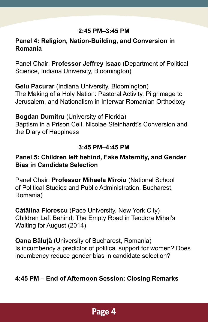#### **2:45 PM–3:45 PM**

#### **Panel 4: Religion, Nation-Building, and Conversion in Romania**

Panel Chair: **Professor Jeffrey Isaac** (Department of Political Science, Indiana University, Bloomington)

**Gelu Pacurar** (Indiana University, Bloomington) The Making of a Holy Nation: Pastoral Activity, Pilgrimage to Jerusalem, and Nationalism in Interwar Romanian Orthodoxy

#### **Bogdan Dumitru** (University of Florida)

Baptism in a Prison Cell. Nicolae Steinhardt's Conversion and the Diary of Happiness

#### **3:45 PM–4:45 PM**

#### **Panel 5: Children left behind, Fake Maternity, and Gender Bias in Candidate Selection**

Panel Chair: **Professor Mihaela Miroiu** (National School of Political Studies and Public Administration, Bucharest, Romania)

**Cătălina Florescu** (Pace University, New York City) Children Left Behind: The Empty Road in Teodora Mihai's Waiting for August (2014)

**Oana Băluță** (University of Bucharest, Romania) Is incumbency a predictor of political support for women? Does incumbency reduce gender bias in candidate selection?

#### **4:45 PM – End of Afternoon Session; Closing Remarks**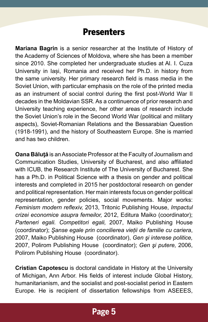## **Presenters**

**Mariana Bagrin** is a senior researcher at the Institute of History of the Academy of Sciences of Moldova, where she has been a member since 2010. She completed her undergraduate studies at Al. I. Cuza University in Iași, Romania and received her Ph.D. in history from the same university. Her primary research field is mass media in the Soviet Union, with particular emphasis on the role of the printed media as an instrument of social control during the first post-World War II decades in the Moldavian SSR. As a continuence of prior research and University teaching experience, her other areas of research include the Soviet Union's role in the Second World War (political and military aspects), Soviet-Romanian Relations and the Bessarabian Question (1918-1991), and the history of Southeastern Europe. She is married and has two children.

**Oana Băluţă** is an Associate Professor at the Faculty of Journalism and Communication Studies, University of Bucharest, and also affiliated with ICUB, the Research Institute of The University of Bucharest. She has a Ph.D. in Political Science with a thesis on gender and political interests and completed in 2015 her postdoctoral research on gender and political representation. Her main interests focus on gender political representation, gender policies, social movements. Major works: *Feminism modern reflexiv,* 2013, Tritonic Publishing House, *Impactul crizei economice asupra femeilor,* 2012, Editura Maiko (coordinator); *Parteneri egali. Competitori egali,* 2007, Maiko Publishing House (coordinator); *Şanse egale prin concilierea vieții de familie cu cariera*, 2007, Maiko Publishing House (coordinator), *Gen şi interese politice,*  2007, Polirom Publishing House (coordinator); *Gen şi putere,* 2006, Polirom Publishing House (coordinator).

**Cristian Capotescu** is doctoral candidate in History at the University of Michigan, Ann Arbor. His fields of interest include Global History, humanitarianism, and the socialist and post-socialist period in Eastern Europe. He is recipient of dissertation fellowships from ASEEES,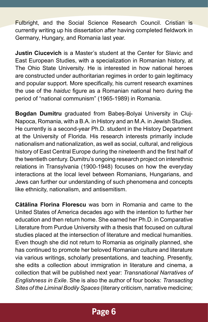Fulbright, and the Social Science Research Council. Cristian is currently writing up his dissertation after having completed fieldwork in Germany, Hungary, and Romania last year.

**Justin Ciucevich** is a Master's student at the Center for Slavic and East European Studies, with a specialization in Romanian history, at The Ohio State University. He is interested in how national heroes are constructed under authoritarian regimes in order to gain legitimacy and popular support. More specifically, his current research examines the use of the *haiduc* figure as a Romanian national hero during the period of "national communism" (1965-1989) in Romania.

**Bogdan Dumitru** graduated from Babeș-Bolyai University in Cluj-Napoca, Romania, with a B.A. in History and an M.A. in Jewish Studies. He currently is a second-year Ph.D. student in the History Department at the University of Florida. His research interests primarily include nationalism and nationalization, as well as social, cultural, and religious history of East Central Europe during the nineteenth and the first half of the twentieth century. Dumitru's ongoing research project on interethnic relations in Transylvania (1900-1948) focuses on how the everyday interactions at the local level between Romanians, Hungarians, and Jews can further our understanding of such phenomena and concepts like ethnicity, nationalism, and antisemitism.

**Cătălina Florina Florescu** was born in Romania and came to the United States of America decades ago with the intention to further her education and then return home. She earned her Ph.D. in Comparative Literature from Purdue University with a thesis that focused on cultural studies placed at the intersection of literature and medical humanities. Even though she did not return to Romania as originally planned, she has continued to promote her beloved Romanian culture and literature via various writings, scholarly presentations, and teaching. Presently, she edits a collection about immigration in literature and cinema, a collection that will be published next year: *Transnational Narratives of Englishness in Exile*. She is also the author of four books: *Transacting Sites of the Liminal Bodily Spaces* (literary criticism, narrative medicine;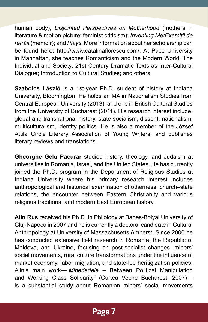human body); *Disjointed Perspectives on Motherhood* (mothers in literature & motion picture; feminist criticism); *Inventing Me/Exerciții de retrăit* (memoir); and *Plays*. More information about her scholarship can be found here: http://www.catalinaflorescu.com/. At Pace University in Manhattan, she teaches Romanticism and the Modern World, The Individual and Society; 21st Century Dramatic Texts as Inter-Cultural Dialogue; Introduction to Cultural Studies; and others.

**Szabolcs László** is a 1st-year Ph.D. student of history at Indiana University, Bloomington. He holds an MA in Nationalism Studies from Central European University (2013), and one in British Cultural Studies from the University of Bucharest (2011). His research interest include: global and transnational history, state socialism, dissent, nationalism, multiculturalism, identity politics. He is also a member of the József Attila Circle Literary Association of Young Writers, and publishes literary reviews and translations.

**Gheorghe Gelu Pacurar** studied history, theology, and Judaism at universities in Romania, Israel, and the United States. He has currently joined the Ph.D. program in the Department of Religious Studies at Indiana University where his primary research interest includes anthropological and historical examination of otherness, church–state relations, the encounter between Eastern Christianity and various religious traditions, and modern East European history.

**Alin Rus** received his Ph.D. in Philology at Babeș-Bolyai University of Cluj-Napoca in 2007 and he is currently a doctoral candidate in Cultural Anthropology at University of Massachusetts Amherst. Since 2000 he has conducted extensive field research in Romania, the Republic of Moldova, and Ukraine, focusing on post-socialist changes, miners' social movements, rural culture transformations under the influence of market economy, labor migration, and state-led heritigization policies. Alin's main work—"*Mineriadele* – Between Political Manipulation and Working Class Solidarity" (Curtea Veche Bucharest, 2007) is a substantial study about Romanian miners' social movements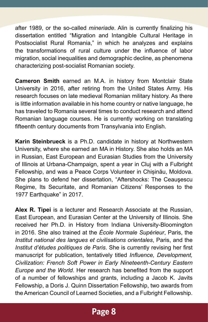after 1989, or the so-called *mineriade*. Alin is currently finalizing his dissertation entitled "Migration and Intangible Cultural Heritage in Postsocialist Rural Romania," in which he analyzes and explains the transformations of rural culture under the influence of labor migration, social inequalities and demographic decline, as phenomena characterizing post-socialist Romanian society.

**Cameron Smith** earned an M.A. in history from Montclair State University in 2016, after retiring from the United States Army. His research focuses on late medieval Romanian military history. As there is little information available in his home country or native language, he has traveled to Romania several times to conduct research and attend Romanian language courses. He is currently working on translating fifteenth century documents from Transylvania into English.

**Karin Steinbrueck** is a Ph.D. candidate in history at Northwestern University, where she earned an MA in History. She also holds an MA in Russian, East European and Eurasian Studies from the University of Illinois at Urbana-Champaign, spent a year in Cluj with a Fulbright Fellowship, and was a Peace Corps Volunteer in Chișinău, Moldova. She plans to defend her dissertation, "Aftershocks: The Ceauşescu Regime, Its Securitate, and Romanian Citizens' Responses to the 1977 Earthquake" in 2017.

**Alex R. Tipei** is a lecturer and Research Associate at the Russian, East European, and Eurasian Center at the University of Illinois. She received her Ph.D. in History from Indiana University-Bloomington in 2016. She also trained at the *École Normale Supérieur*, Paris, the *Institut national des langues et civilisations orientales*, Paris, and the *Institut d'études politiques de Paris*. She is currently revising her first manuscript for publication, tentatively titled *Influence, Development, Civilization: French Soft Power in Early Nineteenth-Century Eastern Europe and the World*. Her research has benefited from the support of a number of fellowships and grants, including a Jacob K. Javits Fellowship, a Doris J. Quinn Dissertation Fellowship, two awards from the American Council of Learned Societies, and a Fulbright Fellowship.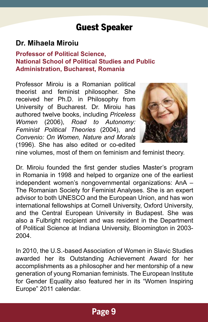## Guest Speaker

#### **Dr. Mihaela Miroiu**

#### **Professor of Political Science, National School of Political Studies and Public Administration, Bucharest, Romania**

Professor Miroiu is a Romanian political theorist and feminist philosopher. She received her Ph.D. in Philosophy from University of Bucharest. Dr. Miroiu has authored twelve books, including *Priceless Women* (2006), *Road to Autonomy: Feminist Political Theories* (2004), and *Convenio: On Women, Nature and Morals*  (1996). She has also edited or co-edited



nine volumes, most of them on feminism and feminist theory.

Dr. Miroiu founded the first gender studies Master's program in Romania in 1998 and helped to organize one of the earliest independent women's nongovernmental organizations: AnA – The Romanian Society for Feminist Analyses. She is an expert advisor to both UNESCO and the European Union, and has won international fellowships at Cornell University, Oxford University, and the Central European University in Budapest. She was also a Fulbright recipient and was resident in the Department of Political Science at Indiana University, Bloomington in 2003- 2004.

In 2010, the U.S.-based Association of Women in Slavic Studies awarded her its Outstanding Achievement Award for her accomplishments as a philosopher and her mentorship of a new generation of young Romanian feminists. The European Institute for Gender Equality also featured her in its "Women Inspiring Europe" 2011 calendar.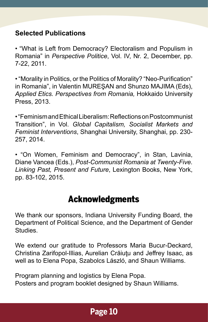#### **Selected Publications**

• "What is Left from Democracy? Electoralism and Populism in Romania" in *Perspective Politice*, Vol. IV, Nr. 2, December, pp. 7-22, 2011.

• "Morality in Politics, or the Politics of Morality? "Neo-Purification" in Romania", in Valentin MUREŞAN and Shunzo MAJIMA (Eds), *Applied Etics. Perspectives from Romania,* Hokkaido University Press, 2013.

• "Feminism and Ethical Liberalism: Reflections on Postcommunist Transition", in Vol. *Global Capitalism, Socialist Markets and Feminist Interventions*, Shanghai University, Shanghai, pp. 230- 257, 2014.

• "On Women, Feminism and Democracy", in Stan, Lavinia, Diane Vancea (Eds.), *Post-Communist Romania at Twenty-Five. Linking Past, Present and Future*, Lexington Books, New York, pp. 83-102, 2015.

## Acknowledgments

We thank our sponsors, Indiana University Funding Board, the Department of Political Science, and the Department of Gender Studies.

We extend our gratitude to Professors Maria Bucur-Deckard, Christina Zarifopol-Illias, Aurelian Crăiuţu and Jeffrey Isaac, as well as to Elena Popa, Szabolcs László, and Shaun Williams.

Program planning and logistics by Elena Popa. Posters and program booklet designed by Shaun Williams.